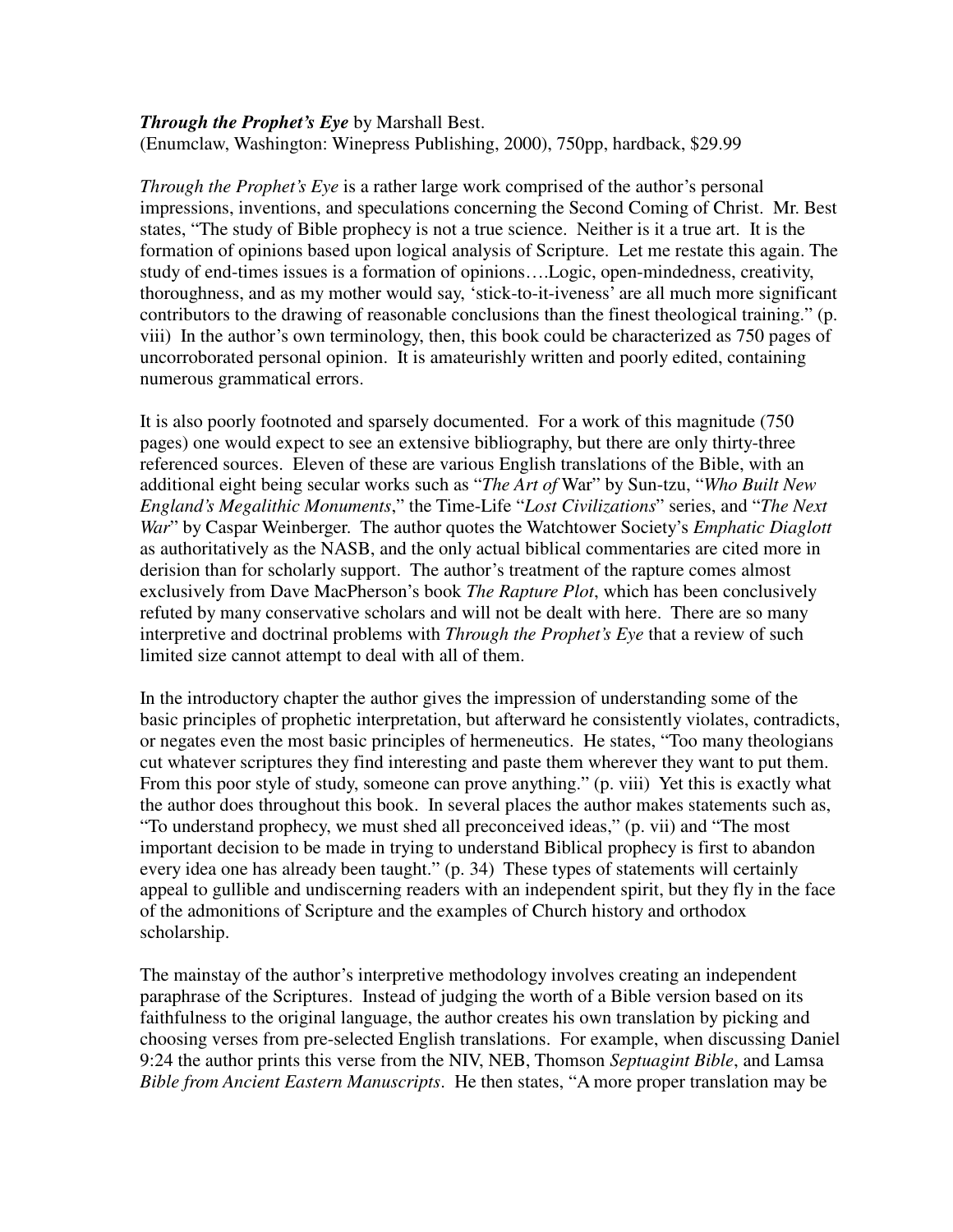## *Through the Prophet's Eye* by Marshall Best. (Enumclaw, Washington: Winepress Publishing, 2000), 750pp, hardback, \$29.99

*Through the Prophet's Eye* is a rather large work comprised of the author's personal impressions, inventions, and speculations concerning the Second Coming of Christ. Mr. Best states, "The study of Bible prophecy is not a true science. Neither is it a true art. It is the formation of opinions based upon logical analysis of Scripture. Let me restate this again. The study of end-times issues is a formation of opinions….Logic, open-mindedness, creativity, thoroughness, and as my mother would say, 'stick-to-it-iveness' are all much more significant contributors to the drawing of reasonable conclusions than the finest theological training." (p. viii) In the author's own terminology, then, this book could be characterized as 750 pages of uncorroborated personal opinion. It is amateurishly written and poorly edited, containing numerous grammatical errors.

It is also poorly footnoted and sparsely documented. For a work of this magnitude (750 pages) one would expect to see an extensive bibliography, but there are only thirty-three referenced sources. Eleven of these are various English translations of the Bible, with an additional eight being secular works such as "*The Art of* War" by Sun-tzu, "*Who Built New England's Megalithic Monuments*," the Time-Life "*Lost Civilizations*" series, and "*The Next War*" by Caspar Weinberger. The author quotes the Watchtower Society's *Emphatic Diaglott* as authoritatively as the NASB, and the only actual biblical commentaries are cited more in derision than for scholarly support. The author's treatment of the rapture comes almost exclusively from Dave MacPherson's book *The Rapture Plot*, which has been conclusively refuted by many conservative scholars and will not be dealt with here. There are so many interpretive and doctrinal problems with *Through the Prophet's Eye* that a review of such limited size cannot attempt to deal with all of them.

In the introductory chapter the author gives the impression of understanding some of the basic principles of prophetic interpretation, but afterward he consistently violates, contradicts, or negates even the most basic principles of hermeneutics. He states, "Too many theologians cut whatever scriptures they find interesting and paste them wherever they want to put them. From this poor style of study, someone can prove anything." (p. viii) Yet this is exactly what the author does throughout this book. In several places the author makes statements such as, "To understand prophecy, we must shed all preconceived ideas," (p. vii) and "The most important decision to be made in trying to understand Biblical prophecy is first to abandon every idea one has already been taught." (p. 34) These types of statements will certainly appeal to gullible and undiscerning readers with an independent spirit, but they fly in the face of the admonitions of Scripture and the examples of Church history and orthodox scholarship.

The mainstay of the author's interpretive methodology involves creating an independent paraphrase of the Scriptures. Instead of judging the worth of a Bible version based on its faithfulness to the original language, the author creates his own translation by picking and choosing verses from pre-selected English translations. For example, when discussing Daniel 9:24 the author prints this verse from the NIV, NEB, Thomson *Septuagint Bible*, and Lamsa *Bible from Ancient Eastern Manuscripts*. He then states, "A more proper translation may be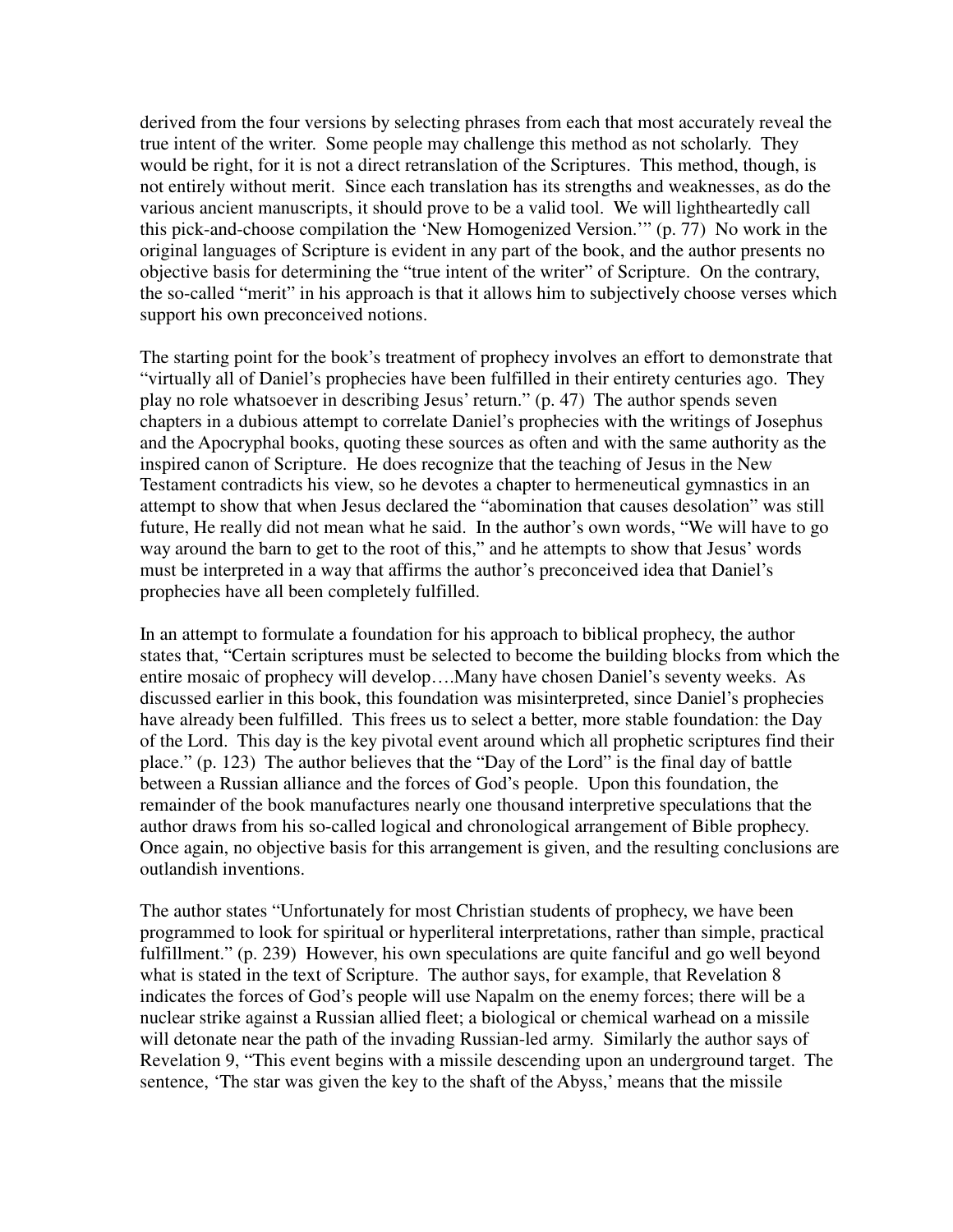derived from the four versions by selecting phrases from each that most accurately reveal the true intent of the writer. Some people may challenge this method as not scholarly. They would be right, for it is not a direct retranslation of the Scriptures. This method, though, is not entirely without merit. Since each translation has its strengths and weaknesses, as do the various ancient manuscripts, it should prove to be a valid tool. We will lightheartedly call this pick-and-choose compilation the 'New Homogenized Version.'" (p. 77) No work in the original languages of Scripture is evident in any part of the book, and the author presents no objective basis for determining the "true intent of the writer" of Scripture. On the contrary, the so-called "merit" in his approach is that it allows him to subjectively choose verses which support his own preconceived notions.

The starting point for the book's treatment of prophecy involves an effort to demonstrate that "virtually all of Daniel's prophecies have been fulfilled in their entirety centuries ago. They play no role whatsoever in describing Jesus' return." (p. 47) The author spends seven chapters in a dubious attempt to correlate Daniel's prophecies with the writings of Josephus and the Apocryphal books, quoting these sources as often and with the same authority as the inspired canon of Scripture. He does recognize that the teaching of Jesus in the New Testament contradicts his view, so he devotes a chapter to hermeneutical gymnastics in an attempt to show that when Jesus declared the "abomination that causes desolation" was still future, He really did not mean what he said. In the author's own words, "We will have to go way around the barn to get to the root of this," and he attempts to show that Jesus' words must be interpreted in a way that affirms the author's preconceived idea that Daniel's prophecies have all been completely fulfilled.

In an attempt to formulate a foundation for his approach to biblical prophecy, the author states that, "Certain scriptures must be selected to become the building blocks from which the entire mosaic of prophecy will develop….Many have chosen Daniel's seventy weeks. As discussed earlier in this book, this foundation was misinterpreted, since Daniel's prophecies have already been fulfilled. This frees us to select a better, more stable foundation: the Day of the Lord. This day is the key pivotal event around which all prophetic scriptures find their place." (p. 123) The author believes that the "Day of the Lord" is the final day of battle between a Russian alliance and the forces of God's people. Upon this foundation, the remainder of the book manufactures nearly one thousand interpretive speculations that the author draws from his so-called logical and chronological arrangement of Bible prophecy. Once again, no objective basis for this arrangement is given, and the resulting conclusions are outlandish inventions.

The author states "Unfortunately for most Christian students of prophecy, we have been programmed to look for spiritual or hyperliteral interpretations, rather than simple, practical fulfillment." (p. 239) However, his own speculations are quite fanciful and go well beyond what is stated in the text of Scripture. The author says, for example, that Revelation 8 indicates the forces of God's people will use Napalm on the enemy forces; there will be a nuclear strike against a Russian allied fleet; a biological or chemical warhead on a missile will detonate near the path of the invading Russian-led army. Similarly the author says of Revelation 9, "This event begins with a missile descending upon an underground target. The sentence, 'The star was given the key to the shaft of the Abyss,' means that the missile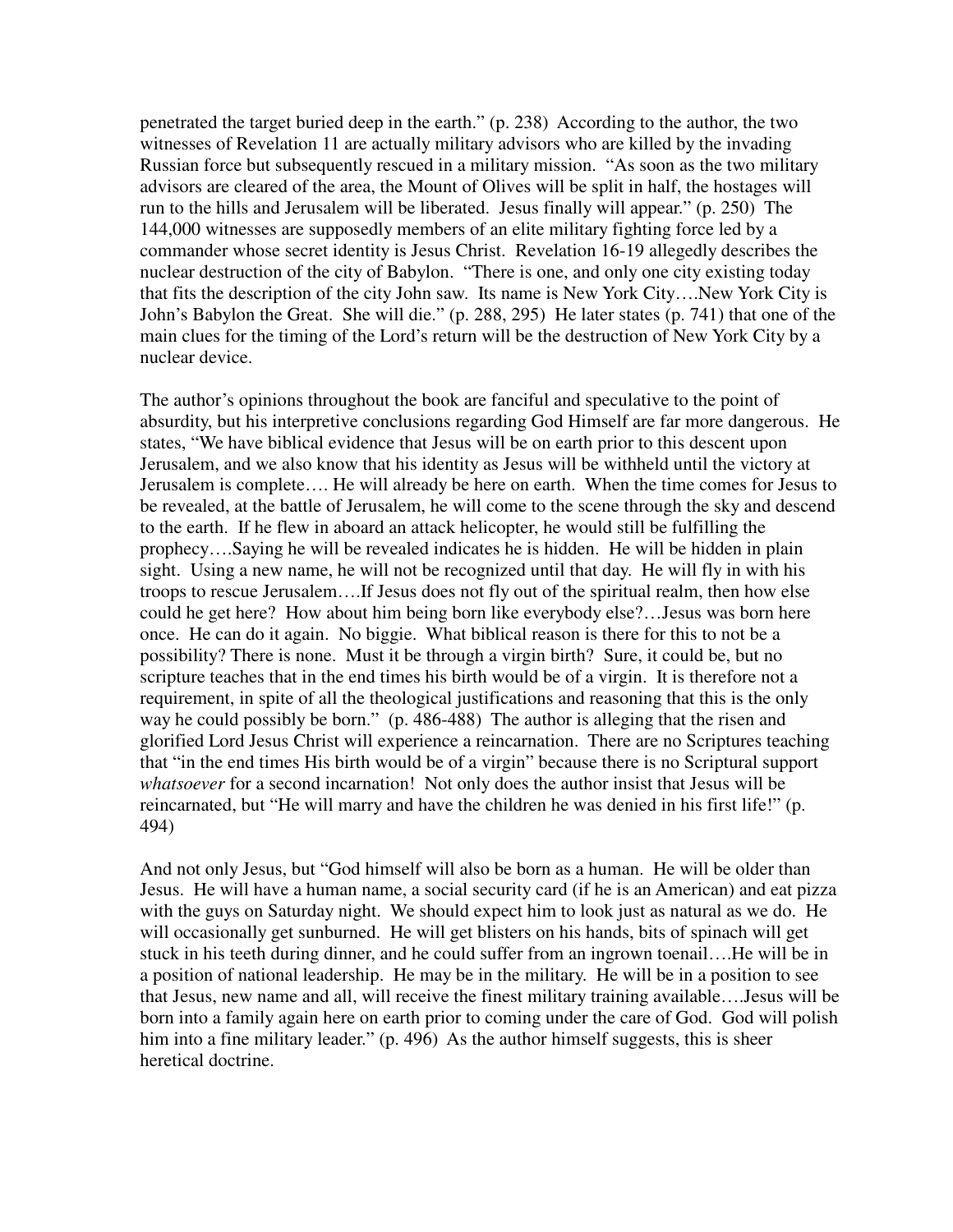penetrated the target buried deep in the earth." (p. 238) According to the author, the two witnesses of Revelation 11 are actually military advisors who are killed by the invading Russian force but subsequently rescued in a military mission. "As soon as the two military advisors are cleared of the area, the Mount of Olives will be split in half, the hostages will run to the hills and Jerusalem will be liberated. Jesus finally will appear." (p. 250) The 144,000 witnesses are supposedly members of an elite military fighting force led by a commander whose secret identity is Jesus Christ. Revelation 16-19 allegedly describes the nuclear destruction of the city of Babylon. "There is one, and only one city existing today that fits the description of the city John saw. Its name is New York City….New York City is John's Babylon the Great. She will die." (p. 288, 295) He later states (p. 741) that one of the main clues for the timing of the Lord's return will be the destruction of New York City by a nuclear device.

The author's opinions throughout the book are fanciful and speculative to the point of absurdity, but his interpretive conclusions regarding God Himself are far more dangerous. He states, "We have biblical evidence that Jesus will be on earth prior to this descent upon Jerusalem, and we also know that his identity as Jesus will be withheld until the victory at Jerusalem is complete…. He will already be here on earth. When the time comes for Jesus to be revealed, at the battle of Jerusalem, he will come to the scene through the sky and descend to the earth. If he flew in aboard an attack helicopter, he would still be fulfilling the prophecy….Saying he will be revealed indicates he is hidden. He will be hidden in plain sight. Using a new name, he will not be recognized until that day. He will fly in with his troops to rescue Jerusalem….If Jesus does not fly out of the spiritual realm, then how else could he get here? How about him being born like everybody else?…Jesus was born here once. He can do it again. No biggie. What biblical reason is there for this to not be a possibility? There is none. Must it be through a virgin birth? Sure, it could be, but no scripture teaches that in the end times his birth would be of a virgin. It is therefore not a requirement, in spite of all the theological justifications and reasoning that this is the only way he could possibly be born." (p. 486-488) The author is alleging that the risen and glorified Lord Jesus Christ will experience a reincarnation. There are no Scriptures teaching that "in the end times His birth would be of a virgin" because there is no Scriptural support *whatsoever* for a second incarnation! Not only does the author insist that Jesus will be reincarnated, but "He will marry and have the children he was denied in his first life!" (p. 494)

And not only Jesus, but "God himself will also be born as a human. He will be older than Jesus. He will have a human name, a social security card (if he is an American) and eat pizza with the guys on Saturday night. We should expect him to look just as natural as we do. He will occasionally get sunburned. He will get blisters on his hands, bits of spinach will get stuck in his teeth during dinner, and he could suffer from an ingrown toenail….He will be in a position of national leadership. He may be in the military. He will be in a position to see that Jesus, new name and all, will receive the finest military training available….Jesus will be born into a family again here on earth prior to coming under the care of God. God will polish him into a fine military leader." (p. 496) As the author himself suggests, this is sheer heretical doctrine.